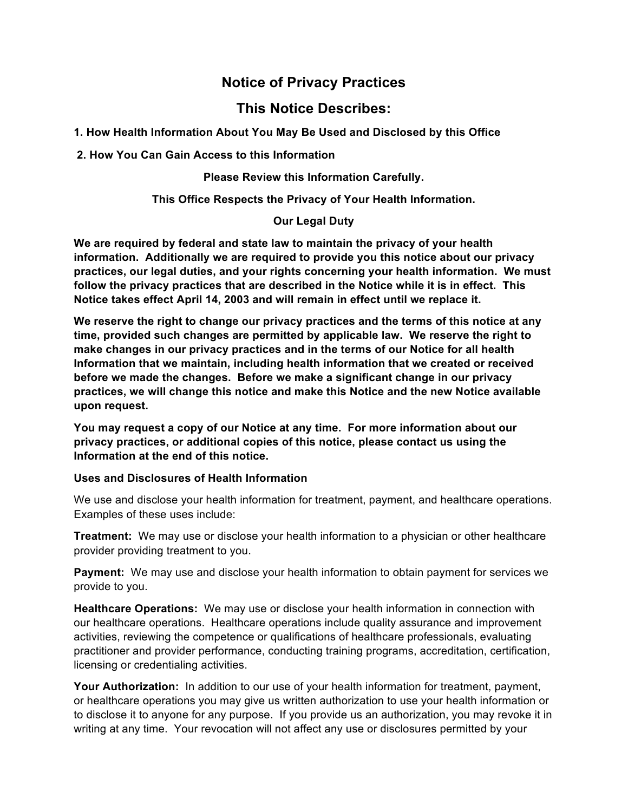# **Notice of Privacy Practices**

## **This Notice Describes:**

**1. How Health Information About You May Be Used and Disclosed by this Office**

**2. How You Can Gain Access to this Information** 

**Please Review this Information Carefully.**

### **This Office Respects the Privacy of Your Health Information.**

#### **Our Legal Duty**

**We are required by federal and state law to maintain the privacy of your health information. Additionally we are required to provide you this notice about our privacy practices, our legal duties, and your rights concerning your health information. We must follow the privacy practices that are described in the Notice while it is in effect. This Notice takes effect April 14, 2003 and will remain in effect until we replace it.** 

**We reserve the right to change our privacy practices and the terms of this notice at any time, provided such changes are permitted by applicable law. We reserve the right to make changes in our privacy practices and in the terms of our Notice for all health Information that we maintain, including health information that we created or received before we made the changes. Before we make a significant change in our privacy practices, we will change this notice and make this Notice and the new Notice available upon request.** 

**You may request a copy of our Notice at any time. For more information about our privacy practices, or additional copies of this notice, please contact us using the Information at the end of this notice.** 

#### **Uses and Disclosures of Health Information**

We use and disclose your health information for treatment, payment, and healthcare operations. Examples of these uses include:

**Treatment:** We may use or disclose your health information to a physician or other healthcare provider providing treatment to you.

**Payment:** We may use and disclose your health information to obtain payment for services we provide to you.

**Healthcare Operations:** We may use or disclose your health information in connection with our healthcare operations. Healthcare operations include quality assurance and improvement activities, reviewing the competence or qualifications of healthcare professionals, evaluating practitioner and provider performance, conducting training programs, accreditation, certification, licensing or credentialing activities.

**Your Authorization:** In addition to our use of your health information for treatment, payment, or healthcare operations you may give us written authorization to use your health information or to disclose it to anyone for any purpose. If you provide us an authorization, you may revoke it in writing at any time. Your revocation will not affect any use or disclosures permitted by your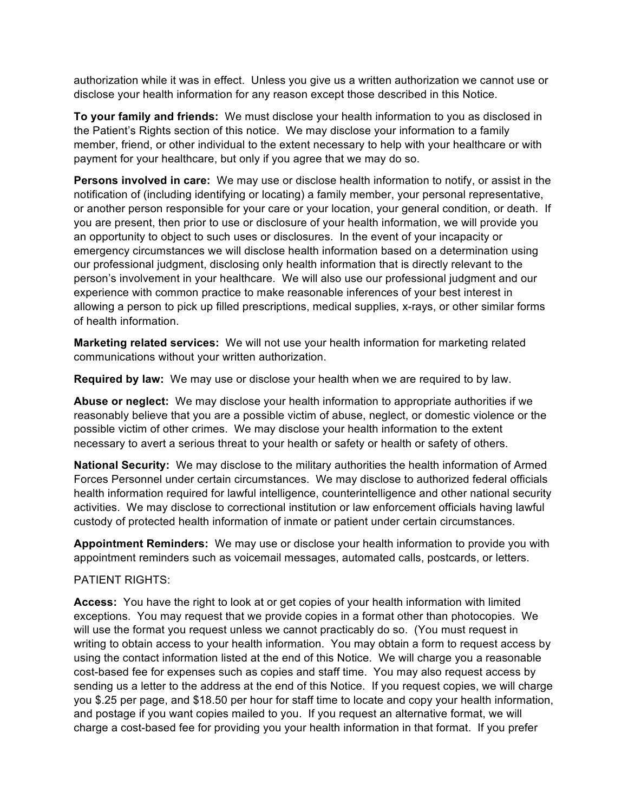authorization while it was in effect. Unless you give us a written authorization we cannot use or disclose your health information for any reason except those described in this Notice.

**To your family and friends:** We must disclose your health information to you as disclosed in the Patient's Rights section of this notice. We may disclose your information to a family member, friend, or other individual to the extent necessary to help with your healthcare or with payment for your healthcare, but only if you agree that we may do so.

**Persons involved in care:** We may use or disclose health information to notify, or assist in the notification of (including identifying or locating) a family member, your personal representative, or another person responsible for your care or your location, your general condition, or death. If you are present, then prior to use or disclosure of your health information, we will provide you an opportunity to object to such uses or disclosures. In the event of your incapacity or emergency circumstances we will disclose health information based on a determination using our professional judgment, disclosing only health information that is directly relevant to the person's involvement in your healthcare. We will also use our professional judgment and our experience with common practice to make reasonable inferences of your best interest in allowing a person to pick up filled prescriptions, medical supplies, x-rays, or other similar forms of health information.

**Marketing related services:** We will not use your health information for marketing related communications without your written authorization.

**Required by law:** We may use or disclose your health when we are required to by law.

**Abuse or neglect:** We may disclose your health information to appropriate authorities if we reasonably believe that you are a possible victim of abuse, neglect, or domestic violence or the possible victim of other crimes. We may disclose your health information to the extent necessary to avert a serious threat to your health or safety or health or safety of others.

**National Security:** We may disclose to the military authorities the health information of Armed Forces Personnel under certain circumstances. We may disclose to authorized federal officials health information required for lawful intelligence, counterintelligence and other national security activities. We may disclose to correctional institution or law enforcement officials having lawful custody of protected health information of inmate or patient under certain circumstances.

**Appointment Reminders:** We may use or disclose your health information to provide you with appointment reminders such as voicemail messages, automated calls, postcards, or letters.

#### PATIENT RIGHTS:

**Access:** You have the right to look at or get copies of your health information with limited exceptions. You may request that we provide copies in a format other than photocopies. We will use the format you request unless we cannot practicably do so. (You must request in writing to obtain access to your health information. You may obtain a form to request access by using the contact information listed at the end of this Notice. We will charge you a reasonable cost-based fee for expenses such as copies and staff time. You may also request access by sending us a letter to the address at the end of this Notice. If you request copies, we will charge you \$.25 per page, and \$18.50 per hour for staff time to locate and copy your health information, and postage if you want copies mailed to you. If you request an alternative format, we will charge a cost-based fee for providing you your health information in that format. If you prefer